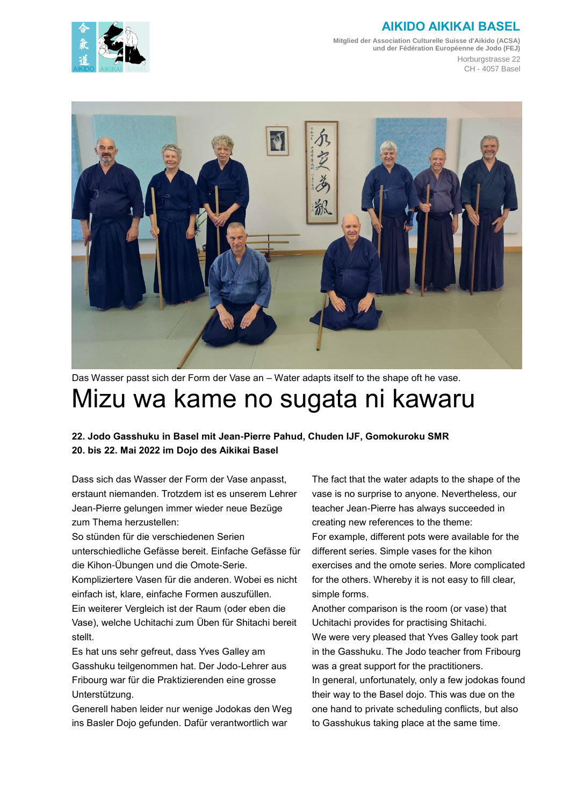## **AIKIDO AIKIKAI BASEL**



**Mitglied der Association Culturelle Suisse d'Aikido (ACSA) und der Fédération Européenne de Jodo (FEJ)** Horburgstrasse 22 CH - 4057 Basel



Das Wasser passt sich der Form der Vase an – Water adapts itself to the shape oft he vase. Mizu wa kame no sugata ni kawaru

**22. Jodo Gasshuku in Basel mit Jean-Pierre Pahud, Chuden IJF, Gomokuroku SMR 20. bis 22. Mai 2022 im Dojo des Aikikai Basel**

Dass sich das Wasser der Form der Vase anpasst, erstaunt niemanden. Trotzdem ist es unserem Lehrer Jean-Pierre gelungen immer wieder neue Bezüge zum Thema herzustellen:

So stünden für die verschiedenen Serien unterschiedliche Gefässe bereit. Einfache Gefässe für die Kihon-Übungen und die Omote-Serie.

Kompliziertere Vasen für die anderen. Wobei es nicht einfach ist, klare, einfache Formen auszufüllen. Ein weiterer Vergleich ist der Raum (oder eben die Vase), welche Uchitachi zum Üben für Shitachi bereit stellt.

Es hat uns sehr gefreut, dass Yves Galley am Gasshuku teilgenommen hat. Der Jodo-Lehrer aus Fribourg war für die Praktizierenden eine grosse Unterstützung.

Generell haben leider nur wenige Jodokas den Weg ins Basler Dojo gefunden. Dafür verantwortlich war

The fact that the water adapts to the shape of the vase is no surprise to anyone. Nevertheless, our teacher Jean-Pierre has always succeeded in creating new references to the theme: For example, different pots were available for the different series. Simple vases for the kihon exercises and the omote series. More complicated for the others. Whereby it is not easy to fill clear, simple forms.

Another comparison is the room (or vase) that Uchitachi provides for practising Shitachi. We were very pleased that Yves Galley took part in the Gasshuku. The Jodo teacher from Fribourg was a great support for the practitioners. In general, unfortunately, only a few jodokas found their way to the Basel dojo. This was due on the one hand to private scheduling conflicts, but also to Gasshukus taking place at the same time.